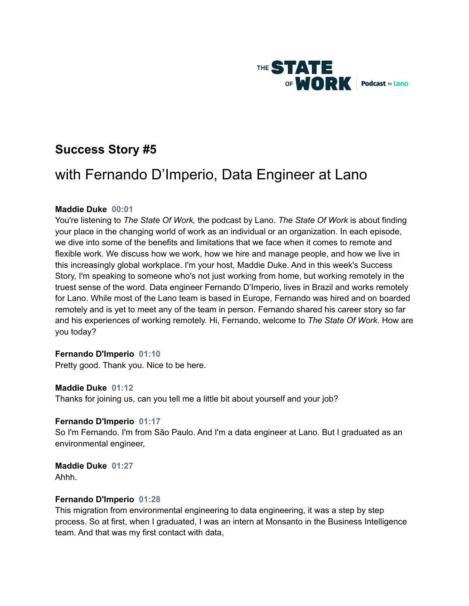

# **Success Story #5**

# with Fernando D'Imperio, Data Engineer at Lano

#### **Maddie Duke 00:01**

You're listening to *The State Of Work,* the podcast by Lano. *The State Of Work* is about finding your place in the changing world of work as an individual or an organization. In each episode, we dive into some of the benefits and limitations that we face when it comes to remote and flexible work. We discuss how we work, how we hire and manage people, and how we live in this increasingly global workplace. I'm your host, Maddie Duke. And in this week's Success Story, I'm speaking to someone who's not just working from home, but working remotely in the truest sense of the word. Data engineer Fernando D'Imperio, lives in Brazil and works remotely for Lano. While most of the Lano team is based in Europe, Fernando was hired and on boarded remotely and is yet to meet any of the team in person. Fernando shared his career story so far and his experiences of working remotely. Hi, Fernando, welcome to *The State Of Work*. How are you today?

#### **Fernando D'Imperio 01:10**

Pretty good. Thank you. Nice to be here.

#### **Maddie Duke 01:12**

Thanks for joining us, can you tell me a little bit about yourself and your job?

#### **Fernando D'Imperio 01:17**

So I'm Fernando. I'm from São Paulo. And I'm a data engineer at Lano. But I graduated as an environmental engineer,

**Maddie Duke 01:27** Ahhh.

#### **Fernando D'Imperio 01:28**

This migration from environmental engineering to data engineering, it was a step by step process. So at first, when I graduated, I was an intern at Monsanto in the Business Intelligence team. And that was my first contact with data,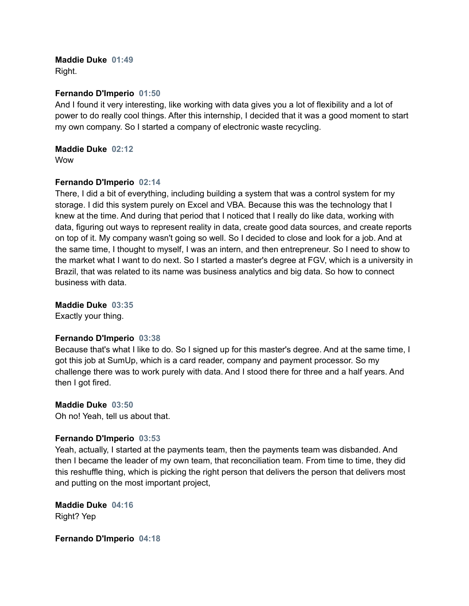## **Maddie Duke 01:49**

Right.

#### **Fernando D'Imperio 01:50**

And I found it very interesting, like working with data gives you a lot of flexibility and a lot of power to do really cool things. After this internship, I decided that it was a good moment to start my own company. So I started a company of electronic waste recycling.

#### **Maddie Duke 02:12**

**Wow** 

#### **Fernando D'Imperio 02:14**

There, I did a bit of everything, including building a system that was a control system for my storage. I did this system purely on Excel and VBA. Because this was the technology that I knew at the time. And during that period that I noticed that I really do like data, working with data, figuring out ways to represent reality in data, create good data sources, and create reports on top of it. My company wasn't going so well. So I decided to close and look for a job. And at the same time, I thought to myself, I was an intern, and then entrepreneur. So I need to show to the market what I want to do next. So I started a master's degree at FGV, which is a university in Brazil, that was related to its name was business analytics and big data. So how to connect business with data.

**Maddie Duke 03:35**

Exactly your thing.

#### **Fernando D'Imperio 03:38**

Because that's what I like to do. So I signed up for this master's degree. And at the same time, I got this job at SumUp, which is a card reader, company and payment processor. So my challenge there was to work purely with data. And I stood there for three and a half years. And then I got fired.

#### **Maddie Duke 03:50**

Oh no! Yeah, tell us about that.

#### **Fernando D'Imperio 03:53**

Yeah, actually, I started at the payments team, then the payments team was disbanded. And then I became the leader of my own team, that reconciliation team. From time to time, they did this reshuffle thing, which is picking the right person that delivers the person that delivers most and putting on the most important project,

**Maddie Duke 04:16** Right? Yep

**Fernando D'Imperio 04:18**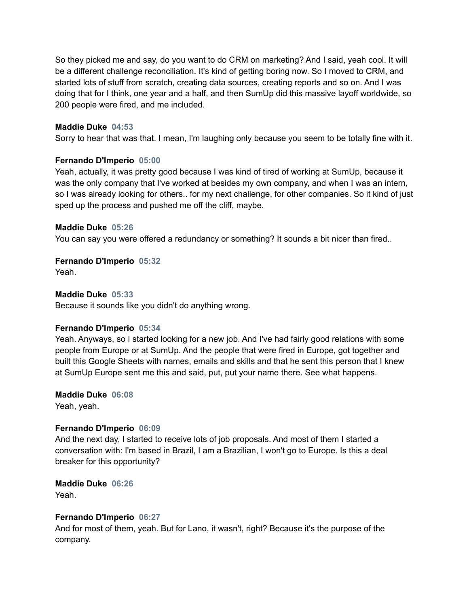So they picked me and say, do you want to do CRM on marketing? And I said, yeah cool. It will be a different challenge reconciliation. It's kind of getting boring now. So I moved to CRM, and started lots of stuff from scratch, creating data sources, creating reports and so on. And I was doing that for I think, one year and a half, and then SumUp did this massive layoff worldwide, so 200 people were fired, and me included.

#### **Maddie Duke 04:53**

Sorry to hear that was that. I mean, I'm laughing only because you seem to be totally fine with it.

#### **Fernando D'Imperio 05:00**

Yeah, actually, it was pretty good because I was kind of tired of working at SumUp, because it was the only company that I've worked at besides my own company, and when I was an intern, so I was already looking for others.. for my next challenge, for other companies. So it kind of just sped up the process and pushed me off the cliff, maybe.

#### **Maddie Duke 05:26**

You can say you were offered a redundancy or something? It sounds a bit nicer than fired..

# **Fernando D'Imperio 05:32**

Yeah.

#### **Maddie Duke 05:33**

Because it sounds like you didn't do anything wrong.

#### **Fernando D'Imperio 05:34**

Yeah. Anyways, so I started looking for a new job. And I've had fairly good relations with some people from Europe or at SumUp. And the people that were fired in Europe, got together and built this Google Sheets with names, emails and skills and that he sent this person that I knew at SumUp Europe sent me this and said, put, put your name there. See what happens.

#### **Maddie Duke 06:08** Yeah, yeah.

# **Fernando D'Imperio 06:09**

And the next day, I started to receive lots of job proposals. And most of them I started a conversation with: I'm based in Brazil, I am a Brazilian, I won't go to Europe. Is this a deal breaker for this opportunity?

#### **Maddie Duke 06:26** Yeah.

## **Fernando D'Imperio 06:27**

And for most of them, yeah. But for Lano, it wasn't, right? Because it's the purpose of the company.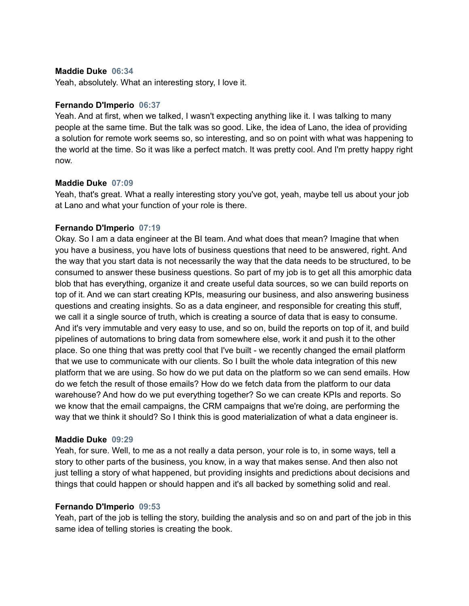#### **Maddie Duke 06:34**

Yeah, absolutely. What an interesting story, I love it.

#### **Fernando D'Imperio 06:37**

Yeah. And at first, when we talked, I wasn't expecting anything like it. I was talking to many people at the same time. But the talk was so good. Like, the idea of Lano, the idea of providing a solution for remote work seems so, so interesting, and so on point with what was happening to the world at the time. So it was like a perfect match. It was pretty cool. And I'm pretty happy right now.

#### **Maddie Duke 07:09**

Yeah, that's great. What a really interesting story you've got, yeah, maybe tell us about your job at Lano and what your function of your role is there.

#### **Fernando D'Imperio 07:19**

Okay. So I am a data engineer at the BI team. And what does that mean? Imagine that when you have a business, you have lots of business questions that need to be answered, right. And the way that you start data is not necessarily the way that the data needs to be structured, to be consumed to answer these business questions. So part of my job is to get all this amorphic data blob that has everything, organize it and create useful data sources, so we can build reports on top of it. And we can start creating KPIs, measuring our business, and also answering business questions and creating insights. So as a data engineer, and responsible for creating this stuff, we call it a single source of truth, which is creating a source of data that is easy to consume. And it's very immutable and very easy to use, and so on, build the reports on top of it, and build pipelines of automations to bring data from somewhere else, work it and push it to the other place. So one thing that was pretty cool that I've built - we recently changed the email platform that we use to communicate with our clients. So I built the whole data integration of this new platform that we are using. So how do we put data on the platform so we can send emails. How do we fetch the result of those emails? How do we fetch data from the platform to our data warehouse? And how do we put everything together? So we can create KPIs and reports. So we know that the email campaigns, the CRM campaigns that we're doing, are performing the way that we think it should? So I think this is good materialization of what a data engineer is.

#### **Maddie Duke 09:29**

Yeah, for sure. Well, to me as a not really a data person, your role is to, in some ways, tell a story to other parts of the business, you know, in a way that makes sense. And then also not just telling a story of what happened, but providing insights and predictions about decisions and things that could happen or should happen and it's all backed by something solid and real.

#### **Fernando D'Imperio 09:53**

Yeah, part of the job is telling the story, building the analysis and so on and part of the job in this same idea of telling stories is creating the book.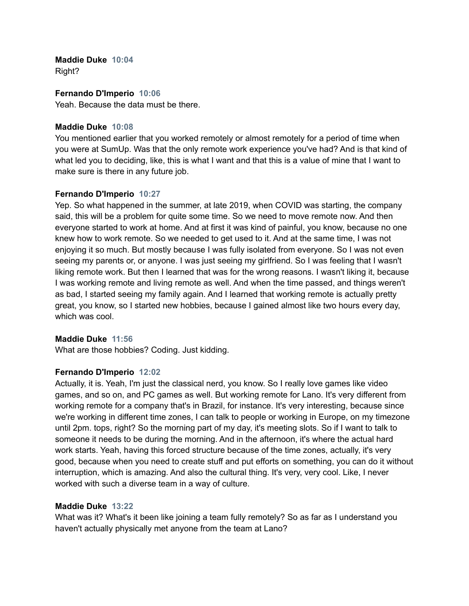## **Maddie Duke 10:04**

Right?

**Fernando D'Imperio 10:06** Yeah. Because the data must be there.

#### **Maddie Duke 10:08**

You mentioned earlier that you worked remotely or almost remotely for a period of time when you were at SumUp. Was that the only remote work experience you've had? And is that kind of what led you to deciding, like, this is what I want and that this is a value of mine that I want to make sure is there in any future job.

#### **Fernando D'Imperio 10:27**

Yep. So what happened in the summer, at late 2019, when COVID was starting, the company said, this will be a problem for quite some time. So we need to move remote now. And then everyone started to work at home. And at first it was kind of painful, you know, because no one knew how to work remote. So we needed to get used to it. And at the same time, I was not enjoying it so much. But mostly because I was fully isolated from everyone. So I was not even seeing my parents or, or anyone. I was just seeing my girlfriend. So I was feeling that I wasn't liking remote work. But then I learned that was for the wrong reasons. I wasn't liking it, because I was working remote and living remote as well. And when the time passed, and things weren't as bad, I started seeing my family again. And I learned that working remote is actually pretty great, you know, so I started new hobbies, because I gained almost like two hours every day, which was cool.

#### **Maddie Duke 11:56**

What are those hobbies? Coding. Just kidding.

#### **Fernando D'Imperio 12:02**

Actually, it is. Yeah, I'm just the classical nerd, you know. So I really love games like video games, and so on, and PC games as well. But working remote for Lano. It's very different from working remote for a company that's in Brazil, for instance. It's very interesting, because since we're working in different time zones, I can talk to people or working in Europe, on my timezone until 2pm. tops, right? So the morning part of my day, it's meeting slots. So if I want to talk to someone it needs to be during the morning. And in the afternoon, it's where the actual hard work starts. Yeah, having this forced structure because of the time zones, actually, it's very good, because when you need to create stuff and put efforts on something, you can do it without interruption, which is amazing. And also the cultural thing. It's very, very cool. Like, I never worked with such a diverse team in a way of culture.

#### **Maddie Duke 13:22**

What was it? What's it been like joining a team fully remotely? So as far as I understand you haven't actually physically met anyone from the team at Lano?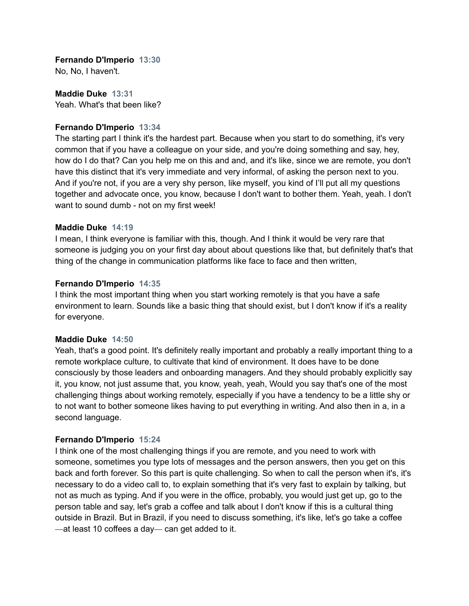#### **Fernando D'Imperio 13:30** No, No, I haven't.

**Maddie Duke 13:31** Yeah. What's that been like?

#### **Fernando D'Imperio 13:34**

The starting part I think it's the hardest part. Because when you start to do something, it's very common that if you have a colleague on your side, and you're doing something and say, hey, how do I do that? Can you help me on this and and, and it's like, since we are remote, you don't have this distinct that it's very immediate and very informal, of asking the person next to you. And if you're not, if you are a very shy person, like myself, you kind of I'll put all my questions together and advocate once, you know, because I don't want to bother them. Yeah, yeah. I don't want to sound dumb - not on my first week!

#### **Maddie Duke 14:19**

I mean, I think everyone is familiar with this, though. And I think it would be very rare that someone is judging you on your first day about about questions like that, but definitely that's that thing of the change in communication platforms like face to face and then written,

#### **Fernando D'Imperio 14:35**

I think the most important thing when you start working remotely is that you have a safe environment to learn. Sounds like a basic thing that should exist, but I don't know if it's a reality for everyone.

#### **Maddie Duke 14:50**

Yeah, that's a good point. It's definitely really important and probably a really important thing to a remote workplace culture, to cultivate that kind of environment. It does have to be done consciously by those leaders and onboarding managers. And they should probably explicitly say it, you know, not just assume that, you know, yeah, yeah, Would you say that's one of the most challenging things about working remotely, especially if you have a tendency to be a little shy or to not want to bother someone likes having to put everything in writing. And also then in a, in a second language.

#### **Fernando D'Imperio 15:24**

I think one of the most challenging things if you are remote, and you need to work with someone, sometimes you type lots of messages and the person answers, then you get on this back and forth forever. So this part is quite challenging. So when to call the person when it's, it's necessary to do a video call to, to explain something that it's very fast to explain by talking, but not as much as typing. And if you were in the office, probably, you would just get up, go to the person table and say, let's grab a coffee and talk about I don't know if this is a cultural thing outside in Brazil. But in Brazil, if you need to discuss something, it's like, let's go take a coffee —at least 10 coffees a day— can get added to it.